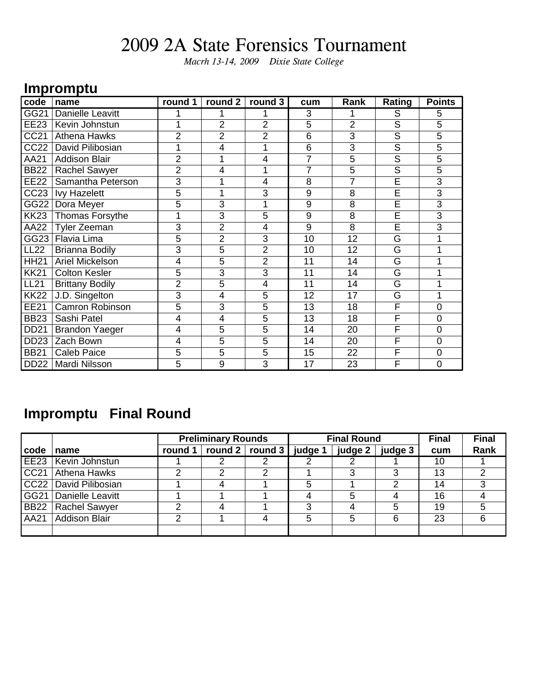*Macrh 13-14, 2009 Dixie State College*

#### **Impromptu**

| code        | name                   | round 1        | round 2        | round $3$      | cum            | Rank           | Rating                  | <b>Points</b>  |
|-------------|------------------------|----------------|----------------|----------------|----------------|----------------|-------------------------|----------------|
| GG21        | Danielle Leavitt       | 1              |                |                | 3              |                | S                       | 5              |
| EE23        | Kevin Johnstun         | 1              | $\overline{2}$ | $\overline{2}$ | 5              | $\overline{2}$ | S                       | 5              |
| CC21        | Athena Hawks           | $\overline{2}$ | 2              | $\overline{2}$ | 6              | 3              | $\overline{\mathsf{S}}$ | 5              |
| CC22        | David Pilibosian       | 1              | 4              |                | 6              | 3              | S                       | 5              |
| AA21        | <b>Addison Blair</b>   | $\overline{2}$ |                | 4              | $\overline{7}$ | 5              | S                       | 5              |
| <b>BB22</b> | <b>Rachel Sawyer</b>   | $\overline{2}$ | 4              |                | 7              | 5              | $\overline{\mathsf{s}}$ | 5              |
| <b>EE22</b> | Samantha Peterson      | $\overline{3}$ |                | 4              | 8              | 7              | E                       | $\overline{3}$ |
| CC23        | <b>Ivy Hazelett</b>    | 5              |                | 3              | 9              | 8              | $\overline{\mathsf{E}}$ | $\overline{3}$ |
| GG22        | Dora Meyer             | 5              | 3              |                | 9              | 8              | E                       | 3              |
| <b>KK23</b> | <b>Thomas Forsythe</b> | 1              | 3              | 5              | 9              | 8              | Ē                       | 3              |
| AA22        | <b>Tyler Zeeman</b>    | 3              | 2              | 4              | 9              | $\overline{8}$ | Ē                       | 3              |
| GG23        | Flavia Lima            | 5              | $\overline{2}$ | 3              | 10             | 12             | $\overline{\mathsf{G}}$ | 1              |
| <b>LL22</b> | <b>Brianna Bodily</b>  | $\overline{3}$ | $\overline{5}$ | $\overline{2}$ | 10             | 12             | G                       | 1              |
| <b>HH21</b> | Ariel Mickelson        | 4              | 5              | $\overline{2}$ | 11             | 14             | G                       | 1              |
| <b>KK21</b> | <b>Colton Kesler</b>   | 5              | 3              | 3              | 11             | 14             | G                       | 1              |
| <b>LL21</b> | <b>Brittany Bodily</b> | $\overline{2}$ | 5              | 4              | 11             | 14             | G                       | 1              |
| <b>KK22</b> | J.D. Singelton         | $\overline{3}$ | 4              | 5              | 12             | 17             | G                       | 1              |
| <b>EE21</b> | <b>Camron Robinson</b> | 5              | 3              | 5              | 13             | 18             | F                       | 0              |
| <b>BB23</b> | Sashi Patel            | 4              | 4              | 5              | 13             | 18             | F                       | $\overline{0}$ |
| <b>DD21</b> | <b>Brandon Yaeger</b>  | 4              | 5              | 5              | 14             | 20             | $\overline{\mathsf{F}}$ | $\mathbf 0$    |
| <b>DD23</b> | Zach Bown              | 4              | 5              | 5              | 14             | 20             | F                       | 0              |
| <b>BB21</b> | <b>Caleb Paice</b>     | 5              | 5              | 5              | 15             | 22             | F                       | $\mathbf 0$    |
| <b>DD22</b> | Mardi Nilsson          | 5              | 9              | 3              | 17             | 23             | F                       | $\overline{0}$ |

### **Impromptu Final Round**

|             |                       | <b>Preliminary Rounds</b> |                                             |   |          | <b>Final Round</b> |         | <b>Final</b> | <b>Final</b> |
|-------------|-----------------------|---------------------------|---------------------------------------------|---|----------|--------------------|---------|--------------|--------------|
| code        | name                  |                           | round 1 $ $ round 2 $ $ round 3 $ $ judge 1 |   |          | judge 2 $ $        | judge 3 | cum          | Rank         |
|             | EE23   Kevin Johnstun |                           |                                             |   |          |                    |         | 10           |              |
| CC21        | Athena Hawks          | ◠                         |                                             | 2 |          |                    | 3       | 13           | ⌒            |
|             | CC22 David Pilibosian |                           |                                             |   | 5        |                    | າ       | 14           |              |
| GG21        | Danielle Leavitt      |                           |                                             |   |          |                    |         | 16           |              |
| <b>BB22</b> | Rachel Sawyer         | ◠                         |                                             |   | <u>ົ</u> |                    | 5       | 19           |              |
| AA21        | Addison Blair         | ◠                         |                                             |   | 5        |                    | 6       | 23           |              |
|             |                       |                           |                                             |   |          |                    |         |              |              |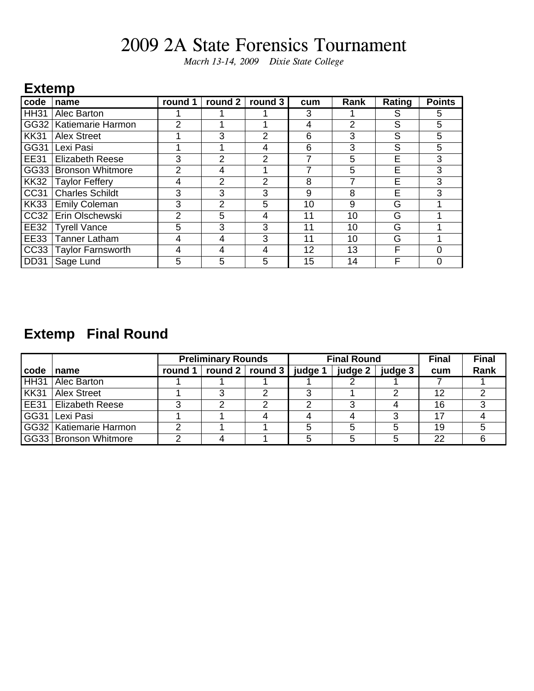*Macrh 13-14, 2009 Dixie State College*

#### **Extemp**

| code             | name                     | round 1        | round 2        | round 3 | cum | Rank | Rating | <b>Points</b> |
|------------------|--------------------------|----------------|----------------|---------|-----|------|--------|---------------|
| HH31             | Alec Barton              |                |                |         | 3   |      | S      | 5             |
| GG32             | Katiemarie Harmon        | $\overline{2}$ |                |         | 4   | 2    | S      | 5             |
| KK31             | <b>Alex Street</b>       |                | 3              | 2       | 6   | 3    | S      | 5             |
| GG31             | Lexi Pasi                |                |                | 4       | 6   | 3    | S      | 5             |
| <b>EE31</b>      | <b>Elizabeth Reese</b>   | 3              | 2              | 2       | 7   | 5    | E      | 3             |
| GG33             | <b>Bronson Whitmore</b>  | $\overline{2}$ | 4              |         |     | 5    | E      | 3             |
| <b>KK32</b>      | <b>Taylor Feffery</b>    | 4              | $\overline{2}$ | 2       | 8   |      | E      | 3             |
| CC31             | <b>Charles Schildt</b>   | 3              | 3              | 3       | 9   | 8    | E      | 3             |
| <b>KK33</b>      | <b>Emily Coleman</b>     | 3              | 2              | 5       | 10  | 9    | G      |               |
| CC <sub>32</sub> | Erin Olschewski          | $\overline{2}$ | 5              | 4       | 11  | 10   | G      |               |
| <b>EE32</b>      | <b>Tyrell Vance</b>      | 5              | 3              | 3       | 11  | 10   | G      |               |
| <b>EE33</b>      | Tanner Latham            | 4              | 4              | 3       | 11  | 10   | G      |               |
| CC33             | <b>Taylor Farnsworth</b> | 4              | 4              | 4       | 12  | 13   | F      | 0             |
| DD31             | Sage Lund                | 5              | 5              | 5       | 15  | 14   | F      |               |

### **Extemp Final Round**

|             |                          | <b>Preliminary Rounds</b> |                                                         |  | <b>Final Round</b> |         | <b>Final</b> | <b>Final</b> |
|-------------|--------------------------|---------------------------|---------------------------------------------------------|--|--------------------|---------|--------------|--------------|
| code        | name                     |                           | round 1 $\vert$ round 2 $\vert$ round 3 $\vert$ judge 1 |  | judge 2            | judge 3 | cum          | Rank         |
| <b>HH31</b> | Alec Barton              |                           |                                                         |  |                    |         |              |              |
| KK31        | <b>Alex Street</b>       |                           |                                                         |  |                    |         | 12           |              |
| EE31        | l Elizabeth Reese        |                           |                                                         |  |                    |         | 16           |              |
|             | GG31 Lexi Pasi           |                           |                                                         |  |                    | ົ       | 17           |              |
|             | GG32   Katiemarie Harmon |                           |                                                         |  |                    |         | 19           |              |
|             | GG33   Bronson Whitmore  |                           |                                                         |  |                    | :C      | 22           |              |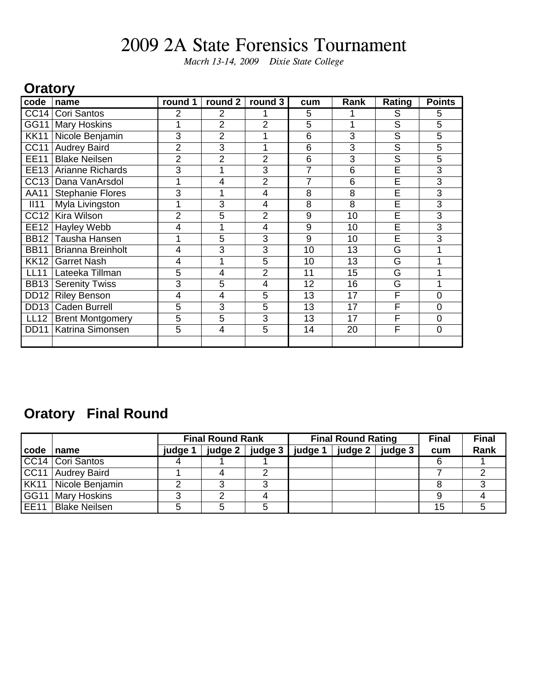*Macrh 13-14, 2009 Dixie State College*

#### **Oratory**

| code             | name                     | round 1        | round 2        | round 3        | cum | Rank           | Rating                  | <b>Points</b>  |
|------------------|--------------------------|----------------|----------------|----------------|-----|----------------|-------------------------|----------------|
| CC <sub>14</sub> | Cori Santos              | $\overline{2}$ | 2              |                | 5   |                | S                       | 5              |
| GG11             | <b>Mary Hoskins</b>      | 1              | 2              | $\overline{2}$ | 5   | 1              | $\overline{\mathsf{s}}$ | 5              |
| <b>KK11</b>      | Nicole Benjamin          | 3              | $\overline{2}$ |                | 6   | 3              | S                       | 5              |
| <b>CC11</b>      | <b>Audrey Baird</b>      | $\overline{2}$ | 3              |                | 6   | 3              | S                       | 5              |
| <b>EE11</b>      | <b>Blake Neilsen</b>     | $\overline{2}$ | 2              | 2              | 6   | 3              | S                       | 5              |
| EE13             | Arianne Richards         | $\overline{3}$ |                | 3              | 7   | $\overline{6}$ | Ē                       | $\overline{3}$ |
| CC <sub>13</sub> | Dana VanArsdol           | 1              | 4              | $\overline{2}$ | 7   | 6              | Ē                       | 3              |
| AA11             | <b>Stephanie Flores</b>  | $\overline{3}$ |                | 4              | 8   | 8              | E                       | 3              |
| II11             | Myla Livingston          | 1              | 3              | 4              | 8   | 8              | $\overline{E}$          | 3              |
| <b>CC12</b>      | Kira Wilson              | $\overline{2}$ | 5              | 2              | 9   | 10             | E                       | 3              |
| <b>EE12</b>      | Hayley Webb              | 4              |                | 4              | 9   | 10             | Ē                       | $\overline{3}$ |
| <b>BB12</b>      | Tausha Hansen            | 1              | 5              | 3              | 9   | 10             | E                       | 3              |
| <b>BB11</b>      | <b>Brianna Breinholt</b> | 4              | 3              | 3              | 10  | 13             | G                       |                |
| <b>KK12</b>      | <b>Garret Nash</b>       | 4              |                | 5              | 10  | 13             | G                       |                |
| <b>LL11</b>      | Lateeka Tillman          | 5              | 4              | 2              | 11  | 15             | G                       |                |
| <b>BB13</b>      | <b>Serenity Twiss</b>    | 3              | 5              | 4              | 12  | 16             | G                       |                |
| <b>DD12</b>      | <b>Riley Benson</b>      | 4              | 4              | 5              | 13  | 17             | F                       | 0              |
| DD <sub>13</sub> | <b>Caden Burrell</b>     | 5              | 3              | 5              | 13  | 17             | F                       | 0              |
| <b>LL12</b>      | <b>Brent Montgomery</b>  | 5              | 5              | 3              | 13  | 17             | F                       | 0              |
| <b>DD11</b>      | Katrina Simonsen         | 5              | $\overline{4}$ | 5              | 14  | 20             | F                       | 0              |
|                  |                          |                |                |                |     |                |                         |                |

### **Oratory Final Round**

|                  |                      | <b>Final Round Rank</b> |  |                           |         | <b>Final Round Rating</b> | <b>Final</b> | <b>Final</b> |
|------------------|----------------------|-------------------------|--|---------------------------|---------|---------------------------|--------------|--------------|
| code             | ∣name                | <b>judge</b> 1          |  | judge 2   judge 3 $\vert$ | judge 1 | judge $2 \mid$ judge 3    | cum          | Rank         |
|                  | CC14 Cori Santos     |                         |  |                           |         |                           | 6            |              |
|                  | CC11   Audrey Baird  |                         |  |                           |         |                           |              |              |
| KK11             | Nicole Benjamin      |                         |  |                           |         |                           |              |              |
| GG11             | Mary Hoskins         |                         |  |                           |         |                           |              |              |
| EE <sub>11</sub> | <b>Blake Neilsen</b> |                         |  |                           |         |                           | 15           |              |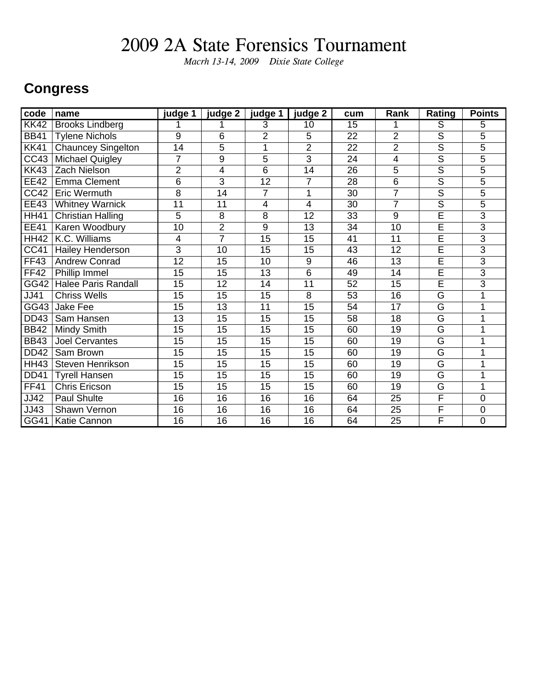*Macrh 13-14, 2009 Dixie State College*

#### **Congress**

| code              | name                       | judge 1         | judge 2         | judge 1         | judge 2         | cum             | Rank            | <b>Rating</b>           | <b>Points</b>  |
|-------------------|----------------------------|-----------------|-----------------|-----------------|-----------------|-----------------|-----------------|-------------------------|----------------|
| <b>KK42</b>       | <b>Brooks Lindberg</b>     |                 |                 | $\overline{3}$  | $\overline{10}$ | 15              |                 | $\overline{\mathsf{s}}$ | 5              |
| <b>BB41</b>       | <b>Tylene Nichols</b>      | $\overline{9}$  | 6               | $\overline{2}$  | 5               | 22              | $\overline{2}$  | $\overline{s}$          | 5              |
| <b>KK41</b>       | <b>Chauncey Singelton</b>  | 14              | 5               |                 | $\overline{2}$  | 22              | $\overline{2}$  | $\overline{\mathsf{s}}$ | 5              |
| CC43              | Michael Quigley            | 7               | 9               | 5               | 3               | 24              | 4               | $\overline{S}$          | 5              |
| <b>KK43</b>       | <b>Zach Nielson</b>        | $\overline{2}$  | 4               | $\overline{6}$  | 14              | 26              | $\overline{5}$  | $\overline{\mathsf{s}}$ | 5              |
| <b>EE42</b>       | <b>Emma Clement</b>        | 6               | $\overline{3}$  | 12              | 7               | 28              | 6               | $\overline{s}$          | 5              |
| CC42              | <b>Eric Wermuth</b>        | $\overline{8}$  | 14              | 7               | 1               | 30              | $\overline{7}$  | $\overline{s}$          | 5              |
| EE43              | <b>Whitney Warnick</b>     | 11              | 11              | 4               | $\overline{4}$  | 30              | $\overline{7}$  | $\overline{s}$          | 5              |
| <b>HH41</b>       | <b>Christian Halling</b>   | 5               | 8               | 8               | 12              | 33              | 9               | $\overline{\mathsf{E}}$ | 3              |
| <b>EE41</b>       | <b>Karen Woodbury</b>      | $\overline{10}$ | $\overline{2}$  | 9               | $\overline{13}$ | $\overline{34}$ | $\overline{10}$ | Έ                       | $\overline{3}$ |
| <b>HH42</b>       | K.C. Williams              | 4               | $\overline{7}$  | 15              | 15              | 41              | 11              | Έ                       | $\overline{3}$ |
| CC41              | Hailey Henderson           | 3               | 10              | 15              | 15              | 43              | 12              | $\overline{\mathsf{E}}$ | 3              |
| <b>FF43</b>       | <b>Andrew Conrad</b>       | 12              | 15              | 10              | 9               | 46              | $\overline{13}$ | $\overline{\mathsf{E}}$ | $\overline{3}$ |
| <b>FF42</b>       | Phillip Immel              | 15              | 15              | 13              | $\overline{6}$  | 49              | 14              | $\overline{E}$          | 3              |
| GG42              | <b>Halee Paris Randall</b> | 15              | 12              | 14              | 11              | 52              | 15              | $\overline{\mathsf{E}}$ | 3              |
| $\overline{JJ41}$ | <b>Chriss Wells</b>        | $\overline{15}$ | $\overline{15}$ | $\overline{15}$ | $\overline{8}$  | $\overline{53}$ | $\overline{16}$ | $\overline{\mathsf{G}}$ | 1              |
| GG43              | <b>Jake Fee</b>            | 15              | 13              | 11              | 15              | 54              | 17              | $\overline{\mathsf{G}}$ | 1              |
| <b>DD43</b>       | Sam Hansen                 | 13              | 15              | 15              | 15              | 58              | 18              | $\overline{\mathsf{G}}$ | 1              |
| <b>BB42</b>       | <b>Mindy Smith</b>         | 15              | 15              | 15              | 15              | 60              | 19              | G                       | 1              |
| <b>BB43</b>       | <b>Joel Cervantes</b>      | 15              | 15              | 15              | 15              | 60              | 19              | G                       | 1              |
| <b>DD42</b>       | Sam Brown                  | 15              | 15              | 15              | 15              | 60              | 19              | $\overline{\mathsf{G}}$ |                |
| <b>HH43</b>       | <b>Steven Henrikson</b>    | 15              | $\overline{15}$ | $\overline{15}$ | 15              | 60              | 19              | $\overline{G}$          | 1              |
| <b>DD41</b>       | <b>Tyrell Hansen</b>       | 15              | 15              | 15              | 15              | 60              | 19              | G                       | 1              |
| <b>FF41</b>       | <b>Chris Ericson</b>       | 15              | 15              | 15              | 15              | 60              | 19              | G                       |                |
| JJ42              | Paul Shulte                | 16              | 16              | 16              | 16              | 64              | 25              | $\overline{F}$          | $\overline{0}$ |
| JJ43              | Shawn Vernon               | 16              | 16              | 16              | 16              | 64              | 25              | F                       | $\overline{0}$ |
| GG41              | Katie Cannon               | $\overline{16}$ | 16              | 16              | 16              | 64              | 25              | F                       | $\overline{0}$ |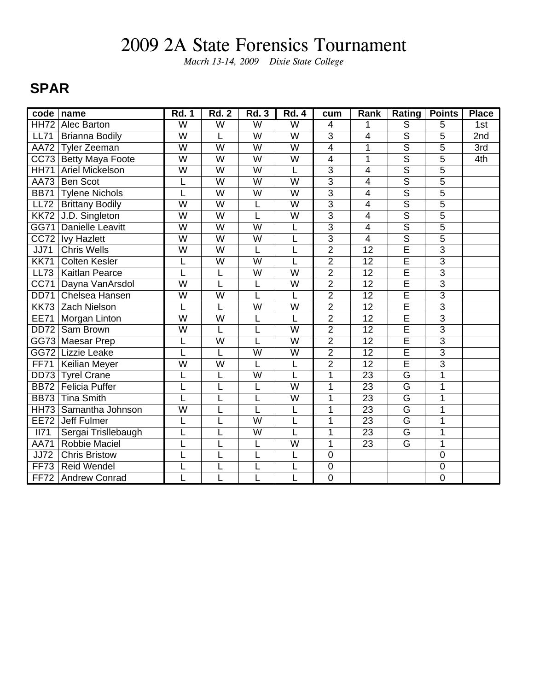*Macrh 13-14, 2009 Dixie State College*

#### **SPAR**

| code              | name                    | <b>Rd. 1</b>            | <b>Rd. 2</b>            | <b>Rd. 3</b>            | <b>Rd. 4</b>            | cum            | Rank                     | <b>Rating</b>           | <b>Points</b>           | <b>Place</b> |
|-------------------|-------------------------|-------------------------|-------------------------|-------------------------|-------------------------|----------------|--------------------------|-------------------------|-------------------------|--------------|
| <b>HH72</b>       | Alec Barton             | $\overline{\mathsf{W}}$ | $\overline{\mathsf{W}}$ | $\overline{\mathsf{W}}$ | $\overline{\mathsf{W}}$ | $\overline{4}$ | 1                        | $\overline{\mathsf{s}}$ | 5                       | 1st          |
| <b>LL71</b>       | <b>Brianna Bodily</b>   | $\overline{\mathsf{W}}$ | Ĺ                       | W                       | W                       | 3              | $\overline{4}$           | $\overline{s}$          | 5                       | 2nd          |
| <b>AA72</b>       | <b>Tyler Zeeman</b>     | W                       | W                       | W                       | W                       | $\overline{4}$ | $\mathbf 1$              | $\overline{\mathsf{s}}$ | $\overline{5}$          | 3rd          |
| CC73              | <b>Betty Maya Foote</b> | $\overline{\mathsf{W}}$ | W                       | W                       | W                       | $\overline{4}$ | 1                        | $\overline{\mathsf{s}}$ | $\overline{5}$          | 4th          |
| <b>HH71</b>       | <b>Ariel Mickelson</b>  | $\overline{\text{W}}$   | $\overline{W}$          | W                       | L                       | $\overline{3}$ | 4                        | $\overline{\mathsf{s}}$ | $\overline{5}$          |              |
| <b>AA73</b>       | <b>Ben Scot</b>         | L                       | $\overline{W}$          | $\overline{W}$          | $\overline{\text{W}}$   | $\overline{3}$ | 4                        | $\overline{\mathsf{s}}$ | $\overline{5}$          |              |
| <b>BB71</b>       | <b>Tylene Nichols</b>   | L                       | W                       | W                       | W                       | $\overline{3}$ | $\overline{4}$           | $\overline{\mathsf{s}}$ | $\overline{5}$          |              |
| <b>LL72</b>       | <b>Brittany Bodily</b>  | $\overline{\mathsf{w}}$ | W                       | L                       | W                       | $\overline{3}$ | $\overline{\mathbf{4}}$  | $\overline{\mathsf{s}}$ | $\overline{5}$          |              |
| $\overline{KK72}$ | J.D. Singleton          | $\overline{\mathsf{W}}$ | W                       | L                       | W                       | 3              | $\overline{4}$           | $\overline{\mathsf{s}}$ | 5                       |              |
| GG71              | <b>Danielle Leavitt</b> | $\overline{\mathsf{W}}$ | $\overline{W}$          | $\overline{\mathsf{W}}$ | L                       | $\overline{3}$ | $\overline{\mathcal{A}}$ | $\overline{\mathsf{s}}$ | 5                       |              |
| $\overline{CC72}$ | <b>Ivy Hazlett</b>      | $\overline{W}$          | $\overline{W}$          | $\overline{\mathsf{W}}$ | L                       | $\overline{3}$ | $\overline{4}$           | $\overline{\mathsf{s}}$ | $\overline{5}$          |              |
| <b>JJ71</b>       | <b>Chris Wells</b>      | W                       | W                       | L                       | L                       | $\overline{2}$ | 12                       | $\overline{\mathsf{E}}$ | $\overline{3}$          |              |
| <b>KK71</b>       | <b>Colten Kesler</b>    | L                       | $\overline{W}$          | $\overline{\mathsf{w}}$ | L                       | $\overline{2}$ | $\overline{12}$          | $\overline{\mathsf{E}}$ | $\overline{3}$          |              |
| <b>LL73</b>       | <b>Kaitlan Pearce</b>   | L                       | L                       | W                       | $\overline{\mathsf{W}}$ | $\overline{2}$ | $\overline{12}$          | Ē                       | 3                       |              |
| <b>CC71</b>       | Dayna VanArsdol         | $\overline{\mathsf{W}}$ | Ĺ                       | L                       | W                       | $\overline{2}$ | 12                       | Ē                       | $\overline{3}$          |              |
| <b>DD71</b>       | Chelsea Hansen          | $\overline{\mathsf{w}}$ | $\overline{\mathsf{W}}$ | L                       | L                       | $\overline{2}$ | $\overline{12}$          | $\overline{\mathsf{E}}$ | $\overline{3}$          |              |
|                   | KK73 Zach Nielson       | L                       | L                       | $\overline{W}$          | $\overline{W}$          | $\overline{2}$ | $\overline{12}$          | Ē                       | $\overline{3}$          |              |
| <b>EE71</b>       | Morgan Linton           | $\overline{\mathsf{w}}$ | $\overline{W}$          | L                       | L                       | $\overline{2}$ | $\overline{12}$          | $\overline{\mathsf{E}}$ | $\overline{3}$          |              |
| <b>DD72</b>       | Sam Brown               | $\overline{W}$          | Ĺ                       | L                       | W                       | $\overline{2}$ | 12                       | $\overline{\mathsf{E}}$ | $\overline{3}$          |              |
| GG73              | <b>Maesar Prep</b>      | L                       | W                       | L                       | W                       | $\overline{2}$ | 12                       | Ē                       | $\overline{3}$          |              |
|                   | GG72 Lizzie Leake       | L                       | L                       | $\overline{\mathsf{W}}$ | W                       | $\overline{2}$ | $\overline{12}$          | E                       | $\overline{3}$          |              |
| <b>FF71</b>       | Keilian Meyer           | $\overline{\mathsf{w}}$ | $\overline{W}$          | L                       | L                       | $\overline{2}$ | $\overline{12}$          | $\overline{\sf E}$      | $\overline{\mathbf{3}}$ |              |
| DD73              | <b>Tyrel Crane</b>      | L                       | L                       | $\overline{\mathsf{w}}$ | L                       | $\overline{1}$ | $\overline{23}$          | $\overline{\mathsf{G}}$ | $\overline{1}$          |              |
| <b>BB72</b>       | <b>Felicia Puffer</b>   |                         | L                       | L                       | W                       | 1              | 23                       | $\overline{\mathsf{G}}$ | $\overline{1}$          |              |
| <b>BB73</b>       | Tina Smith              | L                       | L                       | L                       | W                       | 1              | 23                       | G                       | $\mathbf 1$             |              |
| <b>HH73</b>       | Samantha Johnson        | W                       | L                       | L                       | L                       | 1              | 23                       | G                       | $\mathbf 1$             |              |
| <b>EE72</b>       | <b>Jeff Fulmer</b>      | L                       | Ĺ                       | $\overline{\mathsf{W}}$ | L                       | 1              | $\overline{23}$          | $\overline{\mathsf{G}}$ | $\mathbf 1$             |              |
| II71              | Sergai Trisllebaugh     | L                       | Ĺ                       | $\overline{W}$          | L                       | 1              | 23                       | $\overline{\mathsf{G}}$ | $\mathbf 1$             |              |
| <b>AA71</b>       | <b>Robbie Maciel</b>    | L                       | L                       | L                       | $\overline{\mathsf{w}}$ | 1              | $\overline{23}$          | $\overline{\mathsf{G}}$ | $\overline{1}$          |              |
| <b>JJ72</b>       | <b>Chris Bristow</b>    | L                       |                         |                         | L                       | $\mathbf 0$    |                          |                         | $\overline{0}$          |              |
| FF73              | <b>Reid Wendel</b>      | L                       |                         |                         | L                       | $\mathbf 0$    |                          |                         | $\mathbf 0$             |              |
| FF72              | <b>Andrew Conrad</b>    |                         |                         |                         |                         | $\overline{0}$ |                          |                         | $\overline{0}$          |              |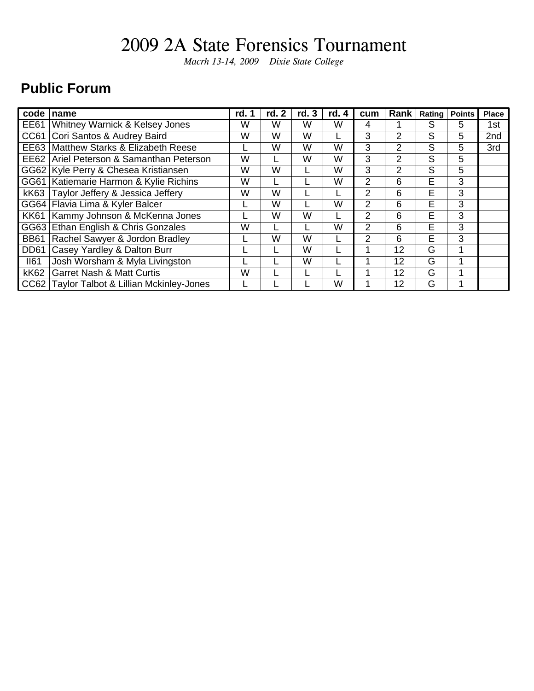*Macrh 13-14, 2009 Dixie State College*

### **Public Forum**

| code        | name                                        | rd. | rd. 2 | rd. 3 | rd. 4 | cum | Rank           | Rating | <b>Points</b> | <b>Place</b> |
|-------------|---------------------------------------------|-----|-------|-------|-------|-----|----------------|--------|---------------|--------------|
| <b>EE61</b> | Whitney Warnick & Kelsey Jones              | W   | W     | W     | W     | 4   |                | S      | 5             | 1st          |
| CC61        | Cori Santos & Audrey Baird                  | W   | W     | W     |       | 3   | $\overline{2}$ | S      | 5             | 2nd          |
| <b>EE63</b> | Matthew Starks & Elizabeth Reese            |     | W     | W     | W     | 3   | $\overline{2}$ | S      | 5             | 3rd          |
| EE62        | Ariel Peterson & Samanthan Peterson         | W   |       | W     | W     | 3   | 2              | S      | 5             |              |
| GG62        | Kyle Perry & Chesea Kristiansen             | W   | W     |       | W     | 3   | $\overline{2}$ | S      | 5             |              |
| GG61        | Katiemarie Harmon & Kylie Richins           | W   |       |       | W     | 2   | 6              | E      | 3             |              |
| <b>kK63</b> | Taylor Jeffery & Jessica Jeffery            | W   | W     |       |       | 2   | 6              | E      | 3             |              |
| GG64        | Flavia Lima & Kyler Balcer                  |     | W     |       | W     | 2   | 6              | E      | 3             |              |
| <b>KK61</b> | Kammy Johnson & McKenna Jones               |     | W     | W     |       | 2   | 6              | E      | 3             |              |
| GG63        | Ethan English & Chris Gonzales              | W   |       |       | W     | 2   | 6              | E      | 3             |              |
| <b>BB61</b> | Rachel Sawyer & Jordon Bradley              |     | W     | W     |       | 2   | 6              | E      | 3             |              |
| <b>DD61</b> | Casey Yardley & Dalton Burr                 |     |       | W     |       |     | 12             | G      | 1             |              |
| <b>II61</b> | Josh Worsham & Myla Livingston              |     |       | W     |       |     | 12             | G      | 4             |              |
| <b>kK62</b> | <b>Garret Nash &amp; Matt Curtis</b>        | W   |       |       |       |     | 12             | G      |               |              |
|             | CC62 Taylor Talbot & Lillian Mckinley-Jones |     |       |       | W     |     | 12             | G      |               |              |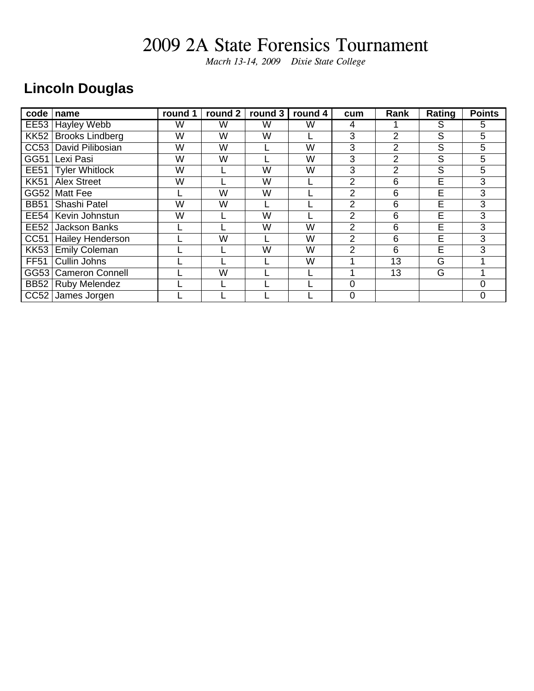*Macrh 13-14, 2009 Dixie State College*

### **Lincoln Douglas**

| code        | name                    | round 1 | round $2$ | round $3$ | round $\overline{4}$ | cum            | Rank           | Rating | <b>Points</b> |
|-------------|-------------------------|---------|-----------|-----------|----------------------|----------------|----------------|--------|---------------|
| <b>EE53</b> | <b>Hayley Webb</b>      | W       | W         | W         | W                    | 4              |                | S      | 5.            |
| <b>KK52</b> | <b>Brooks Lindberg</b>  | W       | W         | W         |                      | 3              | 2              | S      | 5             |
| CC53        | David Pilibosian        | W       | W         |           | W                    | 3              | 2              | S      | 5             |
| GG51        | Lexi Pasi               | W       | W         |           | W                    | 3              | $\overline{2}$ | S      | 5             |
| <b>EE51</b> | Tyler Whitlock          | W       |           | W         | W                    | 3              | $\overline{2}$ | S      | 5             |
| <b>KK51</b> | <b>Alex Street</b>      | W       |           | W         |                      | 2              | 6              | E      | 3             |
| GG52        | Matt Fee                |         | W         | W         |                      | $\overline{2}$ | 6              | E      | 3             |
| <b>BB51</b> | Shashi Patel            | W       | W         |           |                      | $\overline{2}$ | 6              | E      | 3             |
| <b>EE54</b> | Kevin Johnstun          | W       |           | W         |                      | 2              | 6              | E      | 3             |
| <b>EE52</b> | <b>Jackson Banks</b>    |         |           | W         | W                    | 2              | 6              | E      | 3             |
| CC51        | <b>Hailey Henderson</b> |         | W         |           | W                    | 2              | 6              | E      | 3             |
| <b>KK53</b> | <b>Emily Coleman</b>    |         |           | W         | W                    | 2              | 6              | E      | 3             |
| <b>FF51</b> | Cullin Johns            |         |           |           | W                    |                | 13             | G      |               |
| GG53        | <b>Cameron Connell</b>  |         | W         |           |                      |                | 13             | G      |               |
| <b>BB52</b> | <b>Ruby Melendez</b>    |         |           |           |                      | $\overline{0}$ |                |        | 0             |
|             | CC52 James Jorgen       |         |           |           |                      | $\Omega$       |                |        | 0             |